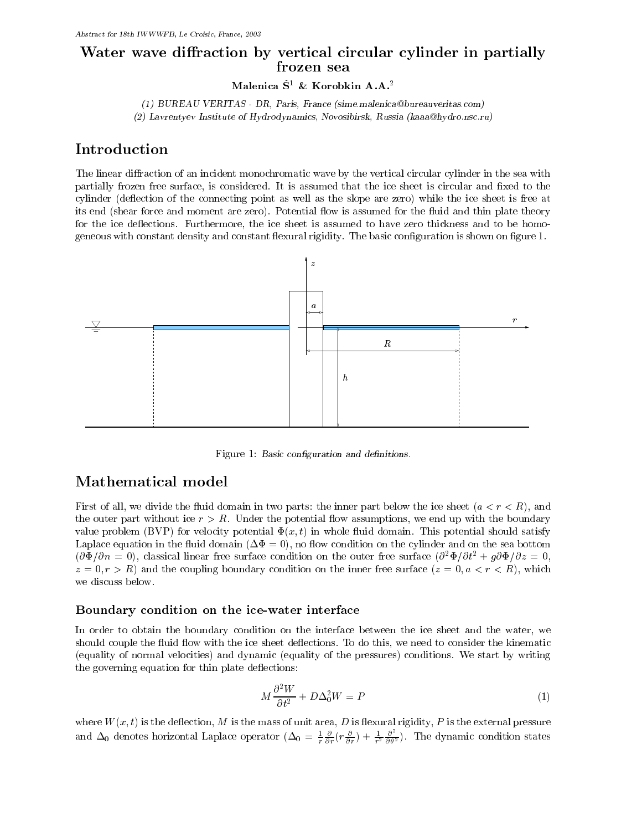# Water wave diraction by vertical circular cylinder in partially

Malenica  $\check{S}^1$  & Korobkin A.A.<sup>2</sup>

(1) BUREAU VERITAS - DR, Paris, France (sime.malenica@bureauveritas.com) (2) Lavrentyev Institute of Hydrodynamics, Novosibirsk, Russia (kaaa@hydro.nsc.ru)

## Introduction

The linear diffraction of an incident monochromatic wave by the vertical circular cylinder in the sea with partially frozen free surface, is considered. It is assumed that the ice sheet is circular and fixed to the cylinder (de
ection of the connecting point as well as the slope are zero) while the ice sheet is free at its end (shear force and moment are zero). Potential flow is assumed for the fluid and thin plate theory for the ice deflections. Furthermore, the ice sheet is assumed to have zero thickness and to be homogeneous with constant density and constant flexural rigidity. The basic configuration is shown on figure 1.



Figure 1: Basic configuration and definitions.

## Mathematical model

First of all, we divide the fluid domain in two parts: the inner part below the ice sheet  $(a < r < R)$ , and the outer part without ice  $r > R$ . Under the potential flow assumptions, we end up with the boundary value problem (BVP) for velocity potential  $\Phi(x, t)$  in whole fluid domain. This potential should satisfy Laplace equation in the fluid domain  $(\Delta \Phi = 0)$ , no flow condition on the cylinder and on the sea bottom  $(\partial \Phi/\partial n = 0)$ , classical linear free surface condition on the outer free surface  $(\partial^2 \Phi/\partial t^2 + g \partial \Phi/\partial z = 0$ ,  $z = 0, r > R$  and the coupling boundary condition on the inner free surface  $(z = 0, a < r < R)$ , which we discuss below.

### Boundary condition on the ice-water interface

In order to obtain the boundary condition on the interface between the ice sheet and the water, we should couple the fluid flow with the ice sheet deflections. To do this, we need to consider the kinematic (equality of normal velocities) and dynamic (equality of the pressures) conditions. We start by writing the governing equation for thin plate deflections:

$$
M\frac{\partial^2 W}{\partial t^2} + D\Delta_0^2 W = P \tag{1}
$$

where  $W(x, t)$  is the deflection, M is the mass of unit area, D is flexural rigidity, P is the external pressure and  $\Delta_0$  denotes horizontal Laplace operator  $(\Delta_0 = \frac{1}{r} \frac{\partial}{\partial r} (r \frac{\partial}{\partial r}) + \frac{1}{r^2} \frac{\partial}{\partial \theta^2})$ . The dynamic condition states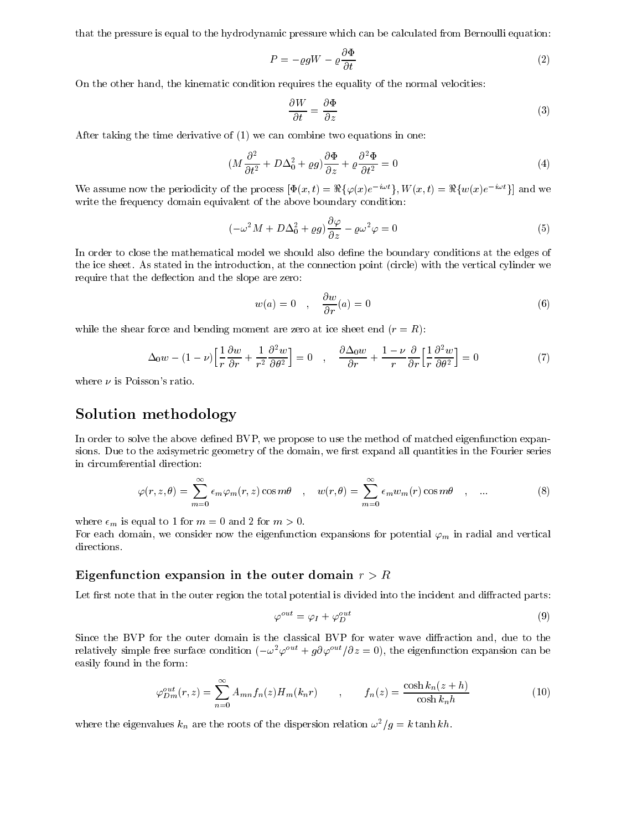that the pressure is equal to the hydrodynamic pressure which can be calculated from Bernoulli equation:

$$
P = -\varrho g W - \varrho \frac{\partial \Phi}{\partial t} \tag{2}
$$

On the other hand, the kinematic condition requires the equality of the normal velocities:

$$
\frac{\partial W}{\partial t} = \frac{\partial \Phi}{\partial z} \tag{3}
$$

After taking the time derivative of (1) we can combine two equations in one:

$$
(M\frac{\partial^2}{\partial t^2} + D\Delta_0^2 + \varrho g)\frac{\partial \Phi}{\partial z} + \varrho \frac{\partial^2 \Phi}{\partial t^2} = 0
$$
\n(4)

We assume now the periodicity of the process  $[\Phi(x, t) = \Re{\{\varphi(x)e^{-i\omega t}\}}, W(x, t) = \Re{\{w(x)e^{-i\omega t}\}}]$  and we write the frequency domain equivalent of the above boundary condition:

$$
(-\omega^2 M + D\Delta_0^2 + \varrho g)\frac{\partial \varphi}{\partial z} - \varrho \omega^2 \varphi = 0
$$
\n(5)

In order to close the mathematical model we should also define the boundary conditions at the edges of the ice sheet. As stated in the introduction, at the connection point (circle) with the vertical cylinder we require that the deflection and the slope are zero:

$$
w(a) = 0 \quad , \quad \frac{\partial w}{\partial r}(a) = 0 \tag{6}
$$

while the shear force and bending moment are zero at ice sheet end  $(r = R)$ :

$$
\Delta_0 w - (1 - \nu) \left[ \frac{1}{r} \frac{\partial w}{\partial r} + \frac{1}{r^2} \frac{\partial^2 w}{\partial \theta^2} \right] = 0 \quad , \quad \frac{\partial \Delta_0 w}{\partial r} + \frac{1 - \nu}{r} \frac{\partial}{\partial r} \left[ \frac{1}{r} \frac{\partial^2 w}{\partial \theta^2} \right] = 0 \tag{7}
$$

where  $\nu$  is Poisson's ratio.

## Solution methodology and comparable methodology and control methodology and control methodology and control me

In order to solve the above defined BVP, we propose to use the method of matched eigenfunction expansions. Due to the axisymetric geometry of the domain, we first expand all quantities in the Fourier series in circumferential direction:

$$
\varphi(r,z,\theta) = \sum_{m=0}^{\infty} \epsilon_m \varphi_m(r,z) \cos m\theta \quad , \quad w(r,\theta) = \sum_{m=0}^{\infty} \epsilon_m w_m(r) \cos m\theta \quad , \quad \dots \tag{8}
$$

where  $\epsilon_m$  is equal to 1 for  $m = 0$  and 2 for  $m > 0$ .

For each domain, we consider now the eigenfunction expansions for potential  $\varphi_m$  in radial and vertical directions.

#### $E$ igunation viole virponevives in the outer domain role of  $\mathcal{L}$

Let first note that in the outer region the total potential is divided into the incident and diffracted parts:

$$
\varphi^{out} = \varphi_I + \varphi_D^{out} \tag{9}
$$

Since the BVP for the outer domain is the classical BVP for water wave diffraction and, due to the relatively simple free surface condition  $(-\omega^2 \varphi^{out} + g \partial \varphi^{out}/\partial z = 0)$ , the eigenfunction expansion can be easily found in the form:

$$
\varphi_{Dm}^{out}(r,z) = \sum_{n=0}^{\infty} A_{mn} f_n(z) H_m(k_n r) \qquad , \qquad f_n(z) = \frac{\cosh k_n (z+h)}{\cosh k_n h} \tag{10}
$$

where the eigenvalues  $k_n$  are the roots of the dispersion relation  $\omega^2/g = k \tanh kh$ .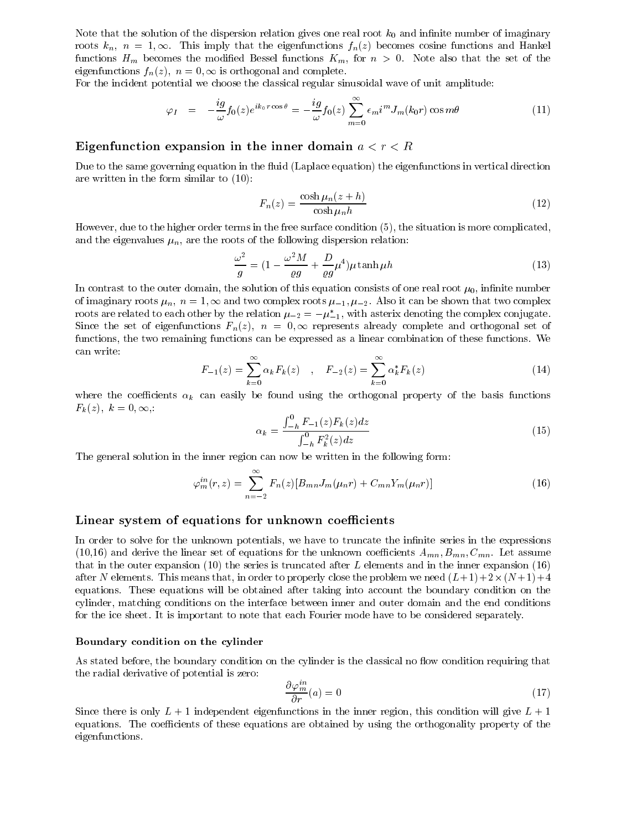Note that the solution of the dispersion relation gives one real root  $k_0$  and infinite number of imaginary roots  $k_n$ ,  $n = 1, \infty$ . This imply that the eigenfunctions  $f_n(z)$  becomes cosine functions and Hankel functions  $H_m$  becomes the modified Bessel functions  $K_m$ , for  $n > 0$ . Note also that the set of the eigenfunctions  $f_n(z)$ ,  $n = 0$ ,  $\infty$  is orthogonal and complete.

For the incident potential we choose the classical regular sinusoidal wave of unit amplitude:

$$
\varphi_I = -\frac{ig}{\omega} f_0(z) e^{ik_0 r \cos \theta} = -\frac{ig}{\omega} f_0(z) \sum_{m=0}^{\infty} \epsilon_m i^m J_m(k_0 r) \cos m\theta \tag{11}
$$

#### Eigenfunction expansion in the inner domain a<r<R

Due to the same governing equation in the fluid (Laplace equation) the eigenfunctions in vertical direction are written in the form similar to (10):

$$
F_n(z) = \frac{\cosh \mu_n(z+h)}{\cosh \mu_n h}
$$
\n(12)

However, due to the higher order terms in the free surface condition (5), the situation is more complicated, and the eigenvalues  $\mu_n$ , are the roots of the following dispersion relation:

$$
\frac{\omega^2}{g} = (1 - \frac{\omega^2 M}{\varrho g} + \frac{D}{\varrho g} \mu^4) \mu \tanh \mu h \tag{13}
$$

In contrast to the outer domain, the solution of this equation consists of one real root  $\mu_0$ , infinite number of imaginary roots  $\mu_n$ ,  $n = 1$ ,  $\infty$  and two complex roots  $\mu_{-1}, \mu_{-2}$ . Also it can be shown that two complex roots are related to each other by the relation  $\mu_{-2} = -\mu_{-1}^*$ , with asterix denoting the complex conjugate. Since the set of eigenfunctions  $F_n(z)$ ,  $n = 0$ ,  $\infty$  represents already complete and orthogonal set of functions, the two remaining functions can be expressed as a linear combination of these functions. We can write:

$$
F_{-1}(z) = \sum_{k=0}^{\infty} \alpha_k F_k(z) \quad , \quad F_{-2}(z) = \sum_{k=0}^{\infty} \alpha_k^* F_k(z) \tag{14}
$$

where the coefficients  $\alpha_k$  can easily be found using the orthogonal property of the basis functions  $F_k(z)$ ,  $k = 0, \infty$ .

$$
\alpha_k = \frac{\int_{-h}^{0} F_{-1}(z) F_k(z) dz}{\int_{-h}^{0} F_k^2(z) dz} \tag{15}
$$

The general solution in the inner region can now be written in the following form:

$$
\varphi_m^{in}(r,z) = \sum_{n=-2}^{\infty} F_n(z) [B_{mn} J_m(\mu_n r) + C_{mn} Y_m(\mu_n r)] \tag{16}
$$

#### Linear system of equations for unknown coecients

In order to solve for the unknown potentials, we have to truncate the infinite series in the expressions (10,16) and derive the linear set of equations for the unknown coefficients  $A_{mn}, B_{mn}, C_{mn}$ . Let assume that in the outer expansion (10) the series is truncated after  $L$  elements and in the inner expansion (16) after N elements. This means that, in order to properly close the problem we need  $(L+1)+2\times (N+1)+4$ equations. These equations will be obtained after taking into account the boundary condition on the cylinder, matching conditions on the interface between inner and outer domain and the end conditions for the ice sheet. It is important to note that each Fourier mode have to be considered separately.

#### Boundary condition on the cylinder

As stated before, the boundary condition on the cylinder is the classical no flow condition requiring that the radial derivative of potential is zero:

$$
\frac{\partial \varphi_m^{in}}{\partial r}(a) = 0 \tag{17}
$$

Since there is only  $L + 1$  independent eigenfunctions in the inner region, this condition will give  $L + 1$ equations. The coefficients of these equations are obtained by using the orthogonality property of the eigenfunctions.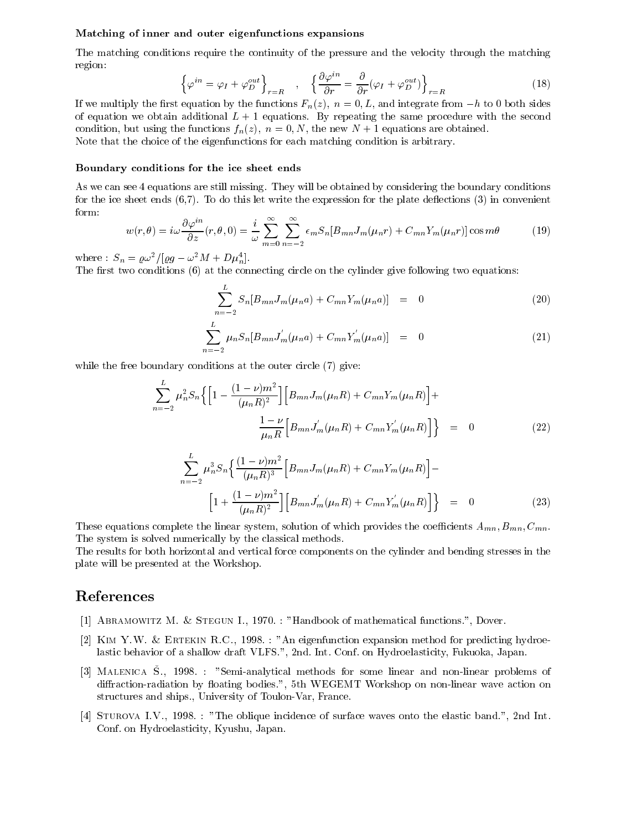#### Matching of inner and outer eigenfunctions expansions

The matching conditions require the continuity of the pressure and the velocity through the matching region:

$$
\left\{\varphi^{in} = \varphi_I + \varphi_D^{out}\right\}_{r=R} \quad , \quad \left\{\frac{\partial \varphi^{in}}{\partial r} = \frac{\partial}{\partial r}(\varphi_I + \varphi_D^{out})\right\}_{r=R} \tag{18}
$$

If we multiply the first equation by the functions  $F_n(z)$ ,  $n = 0, L$ , and integrate from  $-h$  to 0 both sides of equation we obtain additional  $L + 1$  equations. By repeating the same procedure with the second condition, but using the functions  $f_n(z)$ ,  $n = 0, N$ , the new  $N + 1$  equations are obtained. Note that the choice of the eigenfunctions for each matching condition is arbitrary.

#### Boundary conditions for the ice sheet ends

As we can see 4 equations are still missing. They will be obtained by considering the boundary conditions for the ice sheet ends  $(6,7)$ . To do this let write the expression for the plate deflections  $(3)$  in convenient form:

$$
w(r,\theta) = i\omega \frac{\partial \varphi^{in}}{\partial z}(r,\theta,0) = \frac{i}{\omega} \sum_{m=0}^{\infty} \sum_{n=-2}^{\infty} \epsilon_m S_n [B_{mn} J_m(\mu_n r) + C_{mn} Y_m(\mu_n r)] \cos m\theta \tag{19}
$$

where :  $S_n = \frac{\rho \omega^2}{\rho g - \omega^2 M + D \mu_n^4}$ .

The first two conditions  $(6)$  at the connecting circle on the cylinder give following two equations:

$$
\sum_{n=-2}^{L} S_n[B_{mn}J_m(\mu_n a) + C_{mn}Y_m(\mu_n a)] = 0 \qquad (20)
$$

$$
\sum_{m=-2}^{L} \mu_n S_n [B_{mn} J_m^{'}(\mu_n a) + C_{mn} Y_m^{'}(\mu_n a)] = 0 \qquad (21)
$$

while the free boundary conditions at the outer circle  $(7)$  give:

$$
\sum_{n=-2}^{L} \mu_n^2 S_n \Big\{ \Big[ 1 - \frac{(1-\nu)m^2}{(\mu_n R)^2} \Big] \Big[ B_{mn} J_m(\mu_n R) + C_{mn} Y_m(\mu_n R) \Big] +
$$
  

$$
\frac{1-\nu}{\mu_n R} \Big[ B_{mn} J_m'(\mu_n R) + C_{mn} Y_m'(\mu_n R) \Big] \Big\} = 0
$$
 (22)

$$
\sum_{n=-2}^{L} \mu_n^3 S_n \left\{ \frac{(1-\nu)m^2}{(\mu_n R)^3} \left[ B_{mn} J_m(\mu_n R) + C_{mn} Y_m(\mu_n R) \right] - \left[ 1 + \frac{(1-\nu)m^2}{(\mu_n R)^2} \right] \left[ B_{mn} J_m'(\mu_n R) + C_{mn} Y_m'(\mu_n R) \right] \right\} = 0
$$
\n(23)

These equations complete the linear system, solution of which provides the coefficients  $A_{mn}, B_{mn}, C_{mn}$ . The system is solved numerically by the classical methods.

The results for both horizontal and vertical force components on the cylinder and bending stresses in the plate will be presented at the Workshop.

## References

- [1] Abramowitz M. & Stegun I., 1970. : "Handbook of mathematical functions.", Dover.
- [2] Kim Y.W. & Ertekin R.C., 1998. : "An eigenfunction expansion method for predicting hydroelastic behavior of a shallow draft VLFS.", 2nd. Int. Conf. on Hydroelasticity, Fukuoka, Japan.
- [3] Malenica S., 1998. : "Semi-analytical methods for some linear and non-linear problems of diffraction-radiation by floating bodies.", 5th WEGEMT Workshop on non-linear wave action on structures and ships., University of Toulon-Var, France.
- [4] Sturova I.V., 1998. : "The oblique incidence of surface waves onto the elastic band.", 2nd Int. Conf. on Hydroelasticity, Kyushu, Japan.